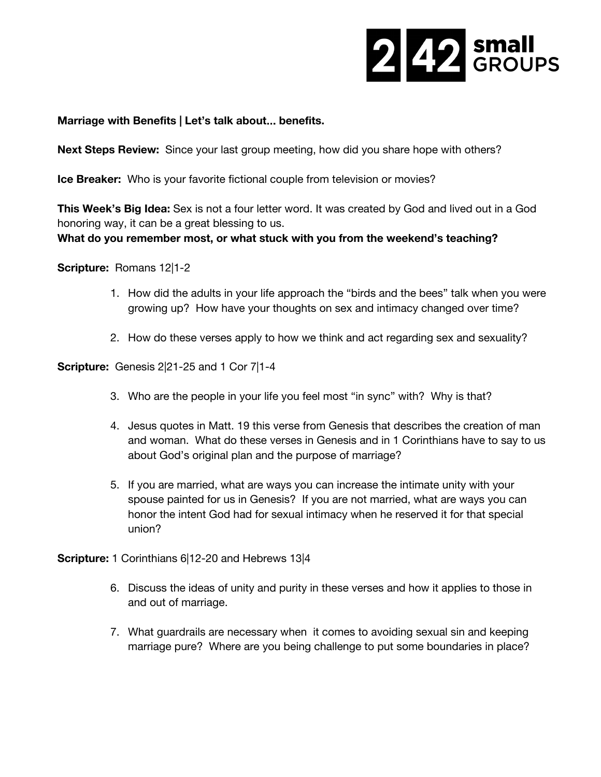

## **Marriage with Benefits | Let's talk about**… **benefits.**

**Next Steps Review:** Since your last group meeting, how did you share hope with others?

**Ice Breaker:** Who is your favorite fictional couple from television or movies?

**This Week's Big Idea:**Sex is not a four letter word. It was created by God and lived out in a God honoring way, it can be a great blessing to us.

## **What do you remember most, or what stuck with you from the weekend's teaching?**

**Scripture:** Romans 12|1-2

- 1. How did the adults in your life approach the "birds and the bees" talk when you were growing up? How have your thoughts on sex and intimacy changed over time?
- 2. How do these verses apply to how we think and act regarding sex and sexuality?

**Scripture:** Genesis 2|21-25 and 1 Cor 7|1-4

- 3. Who are the people in your life you feel most "in sync" with? Why is that?
- 4. Jesus quotes in Matt. 19 this verse from Genesis that describes the creation of man and woman. What do these verses in Genesis and in 1 Corinthians have to say to us about God's original plan and the purpose of marriage?
- 5. If you are married, what are ways you can increase the intimate unity with your spouse painted for us in Genesis? If you are not married, what are ways you can honor the intent God had for sexual intimacy when he reserved it for that special union?

**Scripture:**1 Corinthians 6|12-20 and Hebrews 13|4

- 6. Discuss the ideas of unity and purity in these verses and how it applies to those in and out of marriage.
- 7. What guardrails are necessary when it comes to avoiding sexual sin and keeping marriage pure? Where are you being challenge to put some boundaries in place?